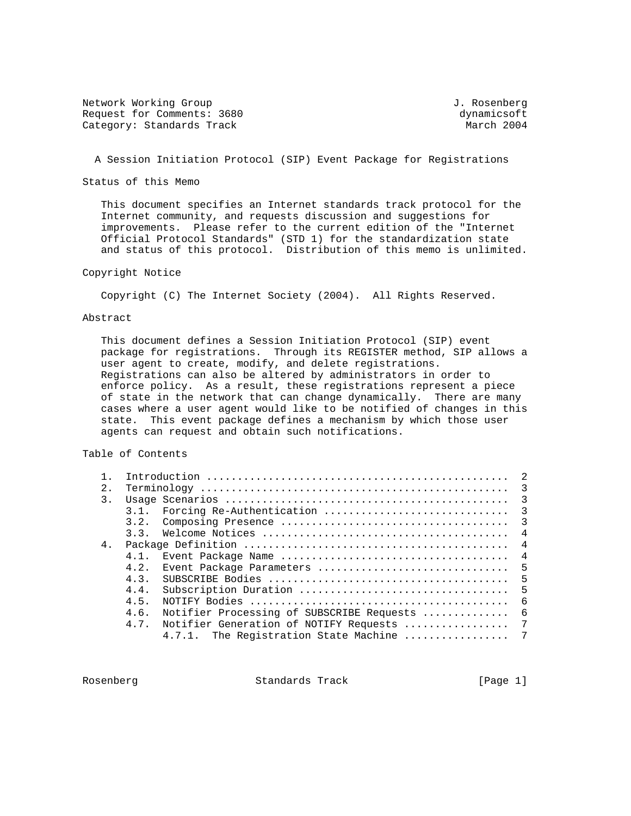Network Working Group and Communications of the Methods of American State of Tensors of Tensors and Tensors of T Request for Comments: 3680<br>
Category: Standards Track<br>
Category: Standards Track Category: Standards Track

## A Session Initiation Protocol (SIP) Event Package for Registrations

Status of this Memo

 This document specifies an Internet standards track protocol for the Internet community, and requests discussion and suggestions for improvements. Please refer to the current edition of the "Internet Official Protocol Standards" (STD 1) for the standardization state and status of this protocol. Distribution of this memo is unlimited.

### Copyright Notice

Copyright (C) The Internet Society (2004). All Rights Reserved.

### Abstract

 This document defines a Session Initiation Protocol (SIP) event package for registrations. Through its REGISTER method, SIP allows a user agent to create, modify, and delete registrations. Registrations can also be altered by administrators in order to enforce policy. As a result, these registrations represent a piece of state in the network that can change dynamically. There are many cases where a user agent would like to be notified of changes in this state. This event package defines a mechanism by which those user agents can request and obtain such notifications.

#### Table of Contents

| 2.             |      |                                              |  |
|----------------|------|----------------------------------------------|--|
| 3.             |      |                                              |  |
|                |      |                                              |  |
|                |      |                                              |  |
|                |      |                                              |  |
| 4 <sub>1</sub> |      |                                              |  |
|                |      |                                              |  |
|                | 4.2. |                                              |  |
|                |      |                                              |  |
|                | 4.4. |                                              |  |
|                | 4.5. |                                              |  |
|                | 4.6. | Notifier Processing of SUBSCRIBE Requests  6 |  |
|                | 4.7. | Notifier Generation of NOTIFY Requests  7    |  |
|                |      | 4.7.1. The Registration State Machine  7     |  |

Rosenberg **Standards Track** [Page 1]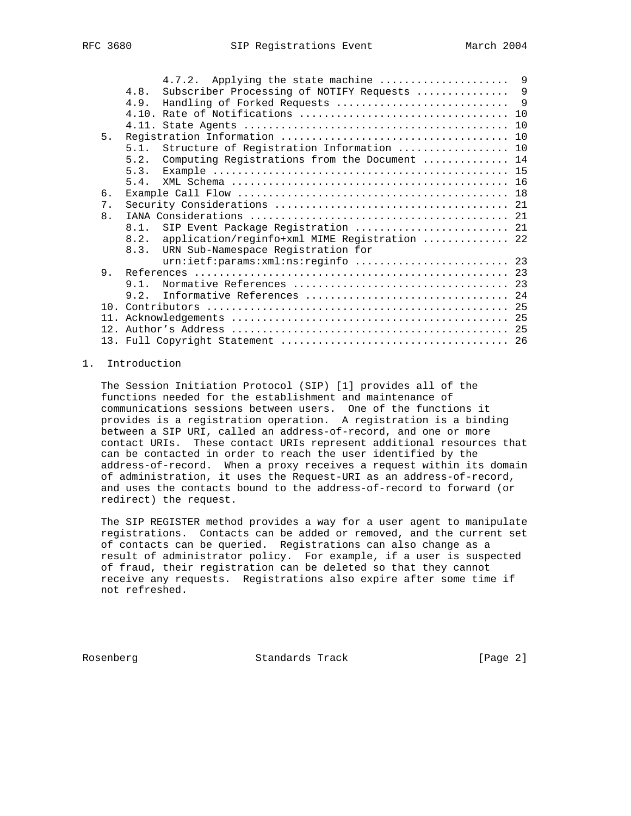|    | Subscriber Processing of NOTIFY Requests  9<br>4.8.   |  |
|----|-------------------------------------------------------|--|
|    | 4.9.                                                  |  |
|    |                                                       |  |
|    |                                                       |  |
| 5. |                                                       |  |
|    | 5.1. Structure of Registration Information  10        |  |
|    | Computing Registrations from the Document  14<br>5.2. |  |
|    | 5.3.                                                  |  |
|    | 5.4.                                                  |  |
| б. |                                                       |  |
| 7. |                                                       |  |
| 8. |                                                       |  |
|    | 8.1. SIP Event Package Registration  21               |  |
|    | application/reginfo+xml MIME Registration  22<br>8.2. |  |
|    | URN Sub-Namespace Registration for<br>8.3.            |  |
|    | urn:ietf:params:xml:ns:reginfo  23                    |  |
| 9. |                                                       |  |
|    | 9.1.                                                  |  |
|    | Informative References  24<br>9.2.                    |  |
|    |                                                       |  |
|    |                                                       |  |
|    |                                                       |  |
|    |                                                       |  |

## 1. Introduction

 The Session Initiation Protocol (SIP) [1] provides all of the functions needed for the establishment and maintenance of communications sessions between users. One of the functions it provides is a registration operation. A registration is a binding between a SIP URI, called an address-of-record, and one or more contact URIs. These contact URIs represent additional resources that can be contacted in order to reach the user identified by the address-of-record. When a proxy receives a request within its domain of administration, it uses the Request-URI as an address-of-record, and uses the contacts bound to the address-of-record to forward (or redirect) the request.

 The SIP REGISTER method provides a way for a user agent to manipulate registrations. Contacts can be added or removed, and the current set of contacts can be queried. Registrations can also change as a result of administrator policy. For example, if a user is suspected of fraud, their registration can be deleted so that they cannot receive any requests. Registrations also expire after some time if not refreshed.

Rosenberg Standards Track [Page 2]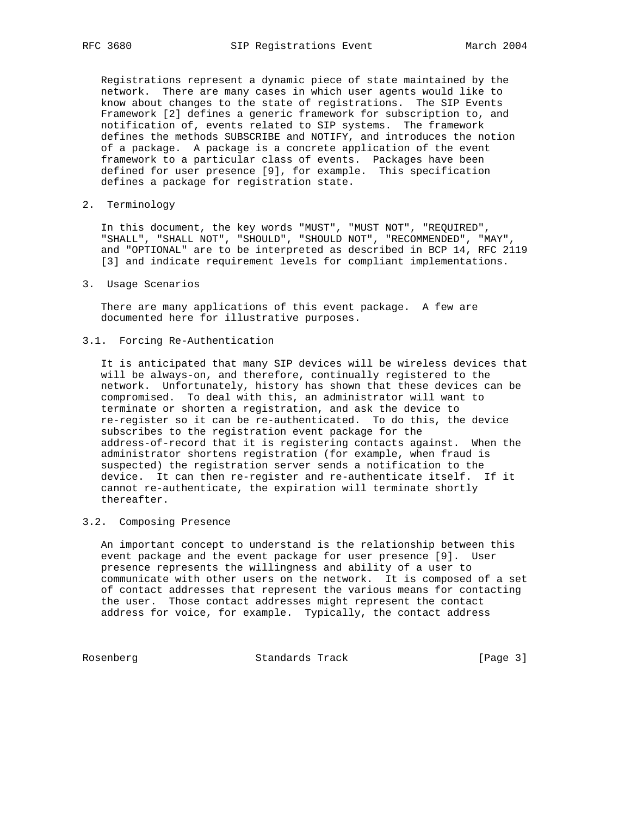Registrations represent a dynamic piece of state maintained by the network. There are many cases in which user agents would like to know about changes to the state of registrations. The SIP Events Framework [2] defines a generic framework for subscription to, and notification of, events related to SIP systems. The framework defines the methods SUBSCRIBE and NOTIFY, and introduces the notion of a package. A package is a concrete application of the event framework to a particular class of events. Packages have been defined for user presence [9], for example. This specification defines a package for registration state.

2. Terminology

 In this document, the key words "MUST", "MUST NOT", "REQUIRED", "SHALL", "SHALL NOT", "SHOULD", "SHOULD NOT", "RECOMMENDED", "MAY", and "OPTIONAL" are to be interpreted as described in BCP 14, RFC 2119 [3] and indicate requirement levels for compliant implementations.

3. Usage Scenarios

 There are many applications of this event package. A few are documented here for illustrative purposes.

3.1. Forcing Re-Authentication

 It is anticipated that many SIP devices will be wireless devices that will be always-on, and therefore, continually registered to the network. Unfortunately, history has shown that these devices can be compromised. To deal with this, an administrator will want to terminate or shorten a registration, and ask the device to re-register so it can be re-authenticated. To do this, the device subscribes to the registration event package for the address-of-record that it is registering contacts against. When the administrator shortens registration (for example, when fraud is suspected) the registration server sends a notification to the device. It can then re-register and re-authenticate itself. If it cannot re-authenticate, the expiration will terminate shortly thereafter.

### 3.2. Composing Presence

 An important concept to understand is the relationship between this event package and the event package for user presence [9]. User presence represents the willingness and ability of a user to communicate with other users on the network. It is composed of a set of contact addresses that represent the various means for contacting the user. Those contact addresses might represent the contact address for voice, for example. Typically, the contact address

Rosenberg Standards Track [Page 3]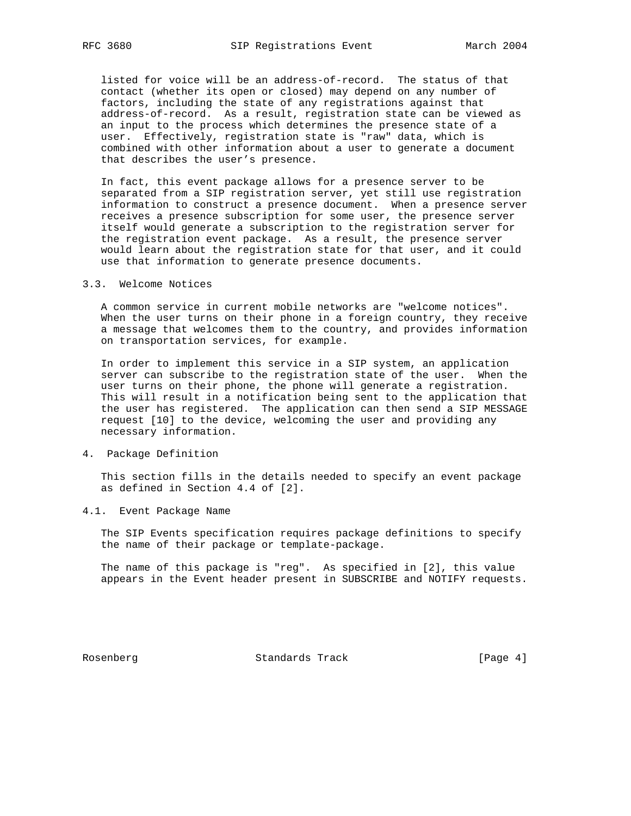listed for voice will be an address-of-record. The status of that contact (whether its open or closed) may depend on any number of factors, including the state of any registrations against that address-of-record. As a result, registration state can be viewed as an input to the process which determines the presence state of a user. Effectively, registration state is "raw" data, which is combined with other information about a user to generate a document that describes the user's presence.

 In fact, this event package allows for a presence server to be separated from a SIP registration server, yet still use registration information to construct a presence document. When a presence server receives a presence subscription for some user, the presence server itself would generate a subscription to the registration server for the registration event package. As a result, the presence server would learn about the registration state for that user, and it could use that information to generate presence documents.

#### 3.3. Welcome Notices

 A common service in current mobile networks are "welcome notices". When the user turns on their phone in a foreign country, they receive a message that welcomes them to the country, and provides information on transportation services, for example.

 In order to implement this service in a SIP system, an application server can subscribe to the registration state of the user. When the user turns on their phone, the phone will generate a registration. This will result in a notification being sent to the application that the user has registered. The application can then send a SIP MESSAGE request [10] to the device, welcoming the user and providing any necessary information.

#### 4. Package Definition

 This section fills in the details needed to specify an event package as defined in Section 4.4 of [2].

## 4.1. Event Package Name

 The SIP Events specification requires package definitions to specify the name of their package or template-package.

 The name of this package is "reg". As specified in [2], this value appears in the Event header present in SUBSCRIBE and NOTIFY requests.

Rosenberg Standards Track [Page 4]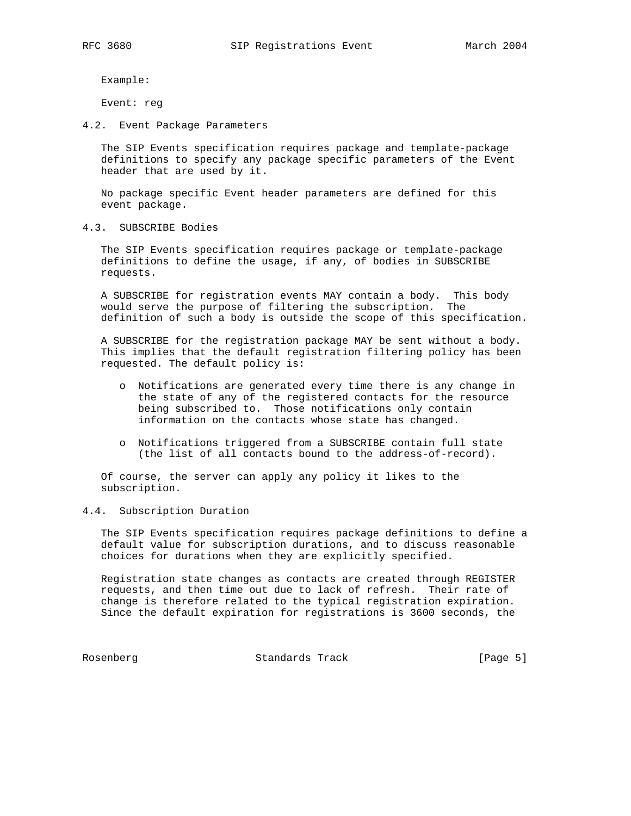Example:

Event: reg

4.2. Event Package Parameters

 The SIP Events specification requires package and template-package definitions to specify any package specific parameters of the Event header that are used by it.

 No package specific Event header parameters are defined for this event package.

4.3. SUBSCRIBE Bodies

 The SIP Events specification requires package or template-package definitions to define the usage, if any, of bodies in SUBSCRIBE requests.

 A SUBSCRIBE for registration events MAY contain a body. This body would serve the purpose of filtering the subscription. The definition of such a body is outside the scope of this specification.

 A SUBSCRIBE for the registration package MAY be sent without a body. This implies that the default registration filtering policy has been requested. The default policy is:

- o Notifications are generated every time there is any change in the state of any of the registered contacts for the resource being subscribed to. Those notifications only contain information on the contacts whose state has changed.
- o Notifications triggered from a SUBSCRIBE contain full state (the list of all contacts bound to the address-of-record).

 Of course, the server can apply any policy it likes to the subscription.

4.4. Subscription Duration

 The SIP Events specification requires package definitions to define a default value for subscription durations, and to discuss reasonable choices for durations when they are explicitly specified.

 Registration state changes as contacts are created through REGISTER requests, and then time out due to lack of refresh. Their rate of change is therefore related to the typical registration expiration. Since the default expiration for registrations is 3600 seconds, the

Rosenberg Standards Track [Page 5]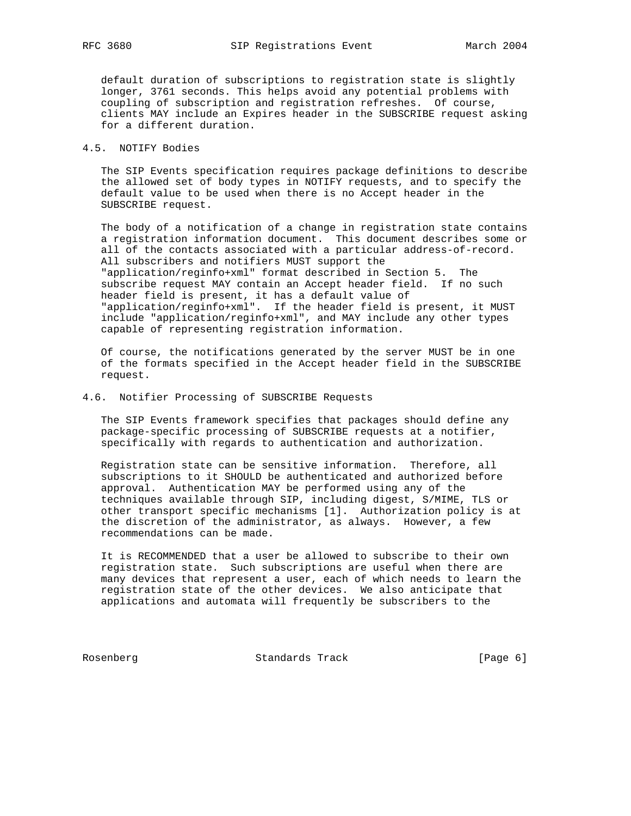default duration of subscriptions to registration state is slightly longer, 3761 seconds. This helps avoid any potential problems with coupling of subscription and registration refreshes. Of course, clients MAY include an Expires header in the SUBSCRIBE request asking for a different duration.

# 4.5. NOTIFY Bodies

 The SIP Events specification requires package definitions to describe the allowed set of body types in NOTIFY requests, and to specify the default value to be used when there is no Accept header in the SUBSCRIBE request.

 The body of a notification of a change in registration state contains a registration information document. This document describes some or all of the contacts associated with a particular address-of-record. All subscribers and notifiers MUST support the "application/reginfo+xml" format described in Section 5. The subscribe request MAY contain an Accept header field. If no such header field is present, it has a default value of "application/reginfo+xml". If the header field is present, it MUST include "application/reginfo+xml", and MAY include any other types capable of representing registration information.

 Of course, the notifications generated by the server MUST be in one of the formats specified in the Accept header field in the SUBSCRIBE request.

### 4.6. Notifier Processing of SUBSCRIBE Requests

 The SIP Events framework specifies that packages should define any package-specific processing of SUBSCRIBE requests at a notifier, specifically with regards to authentication and authorization.

 Registration state can be sensitive information. Therefore, all subscriptions to it SHOULD be authenticated and authorized before approval. Authentication MAY be performed using any of the techniques available through SIP, including digest, S/MIME, TLS or other transport specific mechanisms [1]. Authorization policy is at the discretion of the administrator, as always. However, a few recommendations can be made.

 It is RECOMMENDED that a user be allowed to subscribe to their own registration state. Such subscriptions are useful when there are many devices that represent a user, each of which needs to learn the registration state of the other devices. We also anticipate that applications and automata will frequently be subscribers to the

Rosenberg **Standards Track** [Page 6]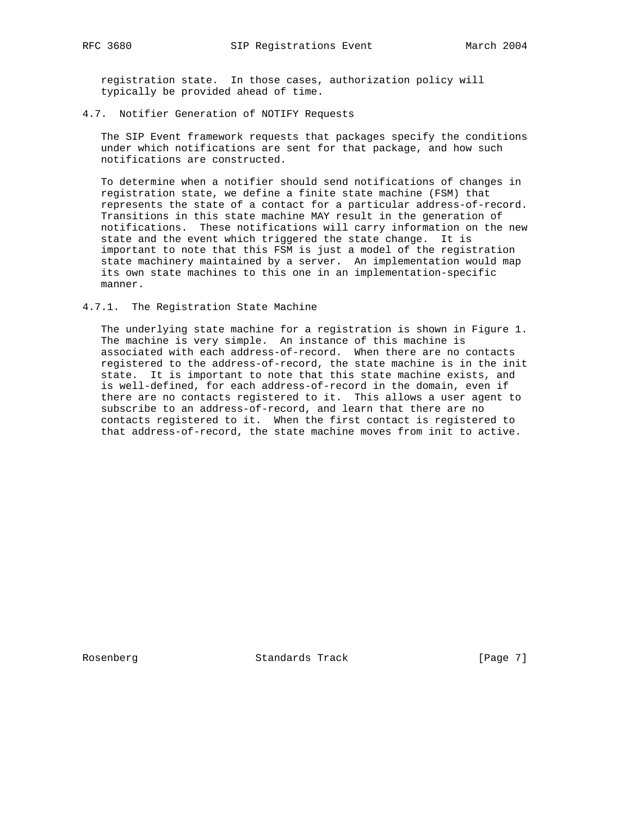registration state. In those cases, authorization policy will typically be provided ahead of time.

#### 4.7. Notifier Generation of NOTIFY Requests

 The SIP Event framework requests that packages specify the conditions under which notifications are sent for that package, and how such notifications are constructed.

 To determine when a notifier should send notifications of changes in registration state, we define a finite state machine (FSM) that represents the state of a contact for a particular address-of-record. Transitions in this state machine MAY result in the generation of notifications. These notifications will carry information on the new state and the event which triggered the state change. It is important to note that this FSM is just a model of the registration state machinery maintained by a server. An implementation would map its own state machines to this one in an implementation-specific manner.

### 4.7.1. The Registration State Machine

 The underlying state machine for a registration is shown in Figure 1. The machine is very simple. An instance of this machine is associated with each address-of-record. When there are no contacts registered to the address-of-record, the state machine is in the init state. It is important to note that this state machine exists, and is well-defined, for each address-of-record in the domain, even if there are no contacts registered to it. This allows a user agent to subscribe to an address-of-record, and learn that there are no contacts registered to it. When the first contact is registered to that address-of-record, the state machine moves from init to active.

Rosenberg Standards Track [Page 7]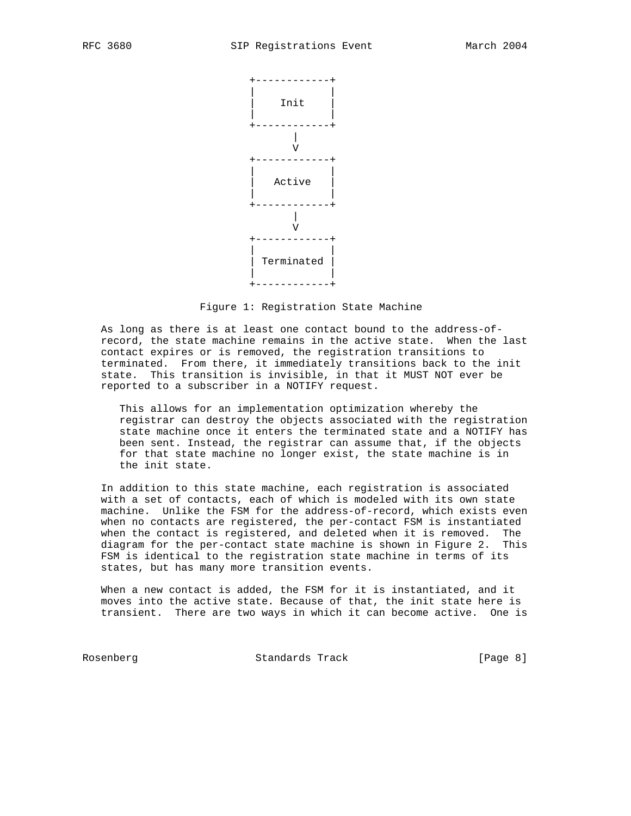

Figure 1: Registration State Machine

 As long as there is at least one contact bound to the address-of record, the state machine remains in the active state. When the last contact expires or is removed, the registration transitions to terminated. From there, it immediately transitions back to the init state. This transition is invisible, in that it MUST NOT ever be reported to a subscriber in a NOTIFY request.

 This allows for an implementation optimization whereby the registrar can destroy the objects associated with the registration state machine once it enters the terminated state and a NOTIFY has been sent. Instead, the registrar can assume that, if the objects for that state machine no longer exist, the state machine is in the init state.

 In addition to this state machine, each registration is associated with a set of contacts, each of which is modeled with its own state machine. Unlike the FSM for the address-of-record, which exists even when no contacts are registered, the per-contact FSM is instantiated when the contact is registered, and deleted when it is removed. The diagram for the per-contact state machine is shown in Figure 2. This FSM is identical to the registration state machine in terms of its states, but has many more transition events.

 When a new contact is added, the FSM for it is instantiated, and it moves into the active state. Because of that, the init state here is transient. There are two ways in which it can become active. One is

Rosenberg Standards Track [Page 8]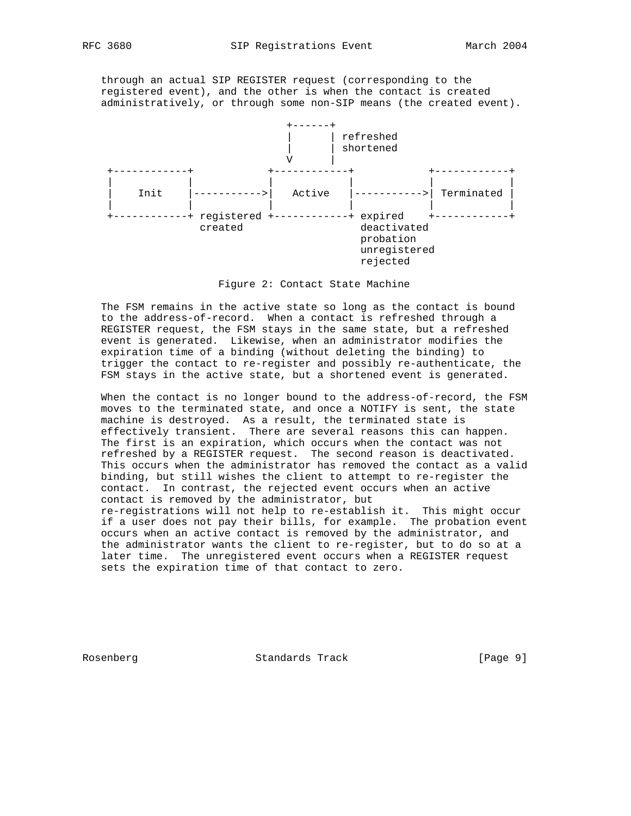through an actual SIP REGISTER request (corresponding to the registered event), and the other is when the contact is created administratively, or through some non-SIP means (the created event).



Figure 2: Contact State Machine

 The FSM remains in the active state so long as the contact is bound to the address-of-record. When a contact is refreshed through a REGISTER request, the FSM stays in the same state, but a refreshed event is generated. Likewise, when an administrator modifies the expiration time of a binding (without deleting the binding) to trigger the contact to re-register and possibly re-authenticate, the FSM stays in the active state, but a shortened event is generated.

 When the contact is no longer bound to the address-of-record, the FSM moves to the terminated state, and once a NOTIFY is sent, the state machine is destroyed. As a result, the terminated state is effectively transient. There are several reasons this can happen. The first is an expiration, which occurs when the contact was not refreshed by a REGISTER request. The second reason is deactivated. This occurs when the administrator has removed the contact as a valid binding, but still wishes the client to attempt to re-register the contact. In contrast, the rejected event occurs when an active contact is removed by the administrator, but re-registrations will not help to re-establish it. This might occur if a user does not pay their bills, for example. The probation event occurs when an active contact is removed by the administrator, and the administrator wants the client to re-register, but to do so at a later time. The unregistered event occurs when a REGISTER request sets the expiration time of that contact to zero.

Rosenberg Standards Track [Page 9]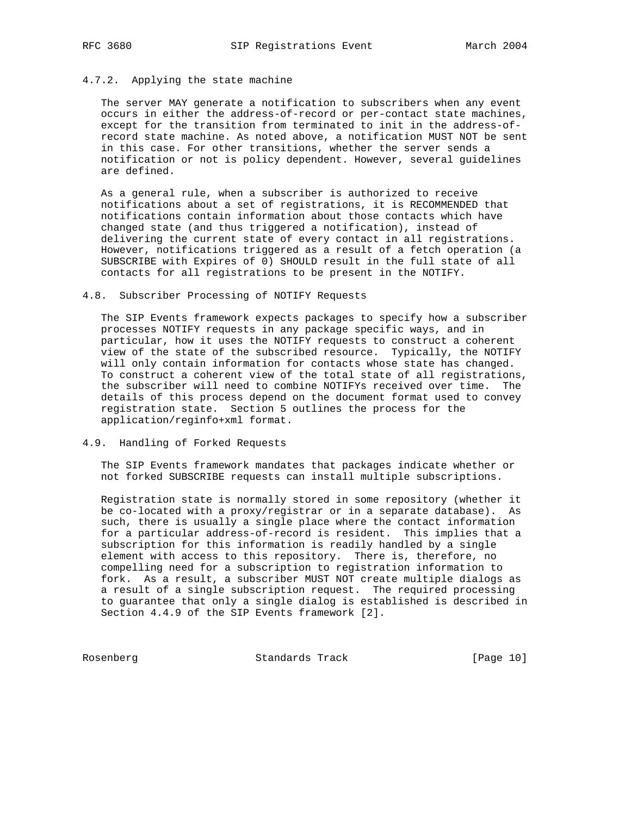#### 4.7.2. Applying the state machine

 The server MAY generate a notification to subscribers when any event occurs in either the address-of-record or per-contact state machines, except for the transition from terminated to init in the address-of record state machine. As noted above, a notification MUST NOT be sent in this case. For other transitions, whether the server sends a notification or not is policy dependent. However, several guidelines are defined.

 As a general rule, when a subscriber is authorized to receive notifications about a set of registrations, it is RECOMMENDED that notifications contain information about those contacts which have changed state (and thus triggered a notification), instead of delivering the current state of every contact in all registrations. However, notifications triggered as a result of a fetch operation (a SUBSCRIBE with Expires of 0) SHOULD result in the full state of all contacts for all registrations to be present in the NOTIFY.

#### 4.8. Subscriber Processing of NOTIFY Requests

 The SIP Events framework expects packages to specify how a subscriber processes NOTIFY requests in any package specific ways, and in particular, how it uses the NOTIFY requests to construct a coherent view of the state of the subscribed resource. Typically, the NOTIFY will only contain information for contacts whose state has changed. To construct a coherent view of the total state of all registrations, the subscriber will need to combine NOTIFYs received over time. The details of this process depend on the document format used to convey registration state. Section 5 outlines the process for the application/reginfo+xml format.

### 4.9. Handling of Forked Requests

 The SIP Events framework mandates that packages indicate whether or not forked SUBSCRIBE requests can install multiple subscriptions.

 Registration state is normally stored in some repository (whether it be co-located with a proxy/registrar or in a separate database). As such, there is usually a single place where the contact information for a particular address-of-record is resident. This implies that a subscription for this information is readily handled by a single element with access to this repository. There is, therefore, no compelling need for a subscription to registration information to fork. As a result, a subscriber MUST NOT create multiple dialogs as a result of a single subscription request. The required processing to guarantee that only a single dialog is established is described in Section 4.4.9 of the SIP Events framework [2].

Rosenberg Standards Track [Page 10]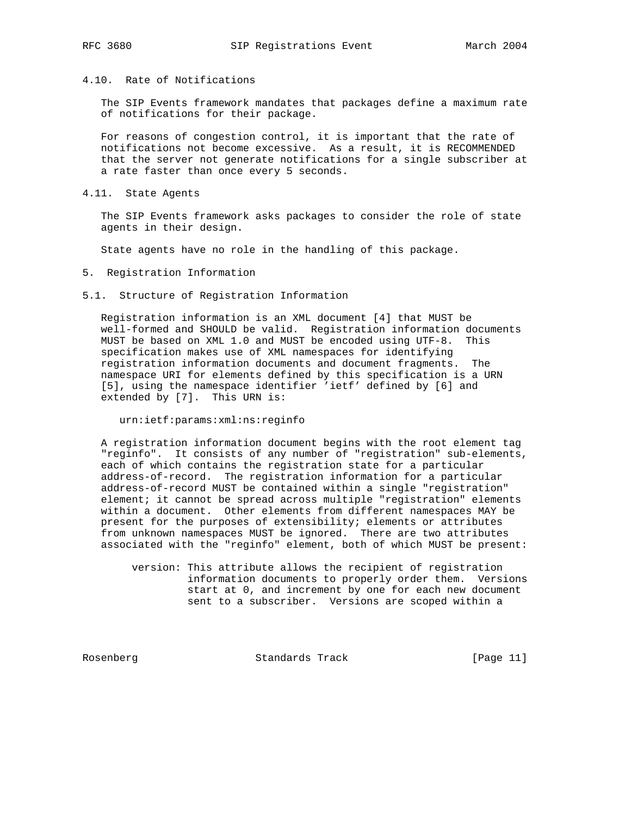# 4.10. Rate of Notifications

 The SIP Events framework mandates that packages define a maximum rate of notifications for their package.

 For reasons of congestion control, it is important that the rate of notifications not become excessive. As a result, it is RECOMMENDED that the server not generate notifications for a single subscriber at a rate faster than once every 5 seconds.

4.11. State Agents

 The SIP Events framework asks packages to consider the role of state agents in their design.

State agents have no role in the handling of this package.

- 5. Registration Information
- 5.1. Structure of Registration Information

 Registration information is an XML document [4] that MUST be well-formed and SHOULD be valid. Registration information documents MUST be based on XML 1.0 and MUST be encoded using UTF-8. This specification makes use of XML namespaces for identifying registration information documents and document fragments. The namespace URI for elements defined by this specification is a URN [5], using the namespace identifier 'ietf' defined by [6] and extended by [7]. This URN is:

urn:ietf:params:xml:ns:reginfo

 A registration information document begins with the root element tag "reginfo". It consists of any number of "registration" sub-elements, each of which contains the registration state for a particular address-of-record. The registration information for a particular address-of-record MUST be contained within a single "registration" element; it cannot be spread across multiple "registration" elements within a document. Other elements from different namespaces MAY be present for the purposes of extensibility; elements or attributes from unknown namespaces MUST be ignored. There are two attributes associated with the "reginfo" element, both of which MUST be present:

 version: This attribute allows the recipient of registration information documents to properly order them. Versions start at 0, and increment by one for each new document sent to a subscriber. Versions are scoped within a

Rosenberg Standards Track [Page 11]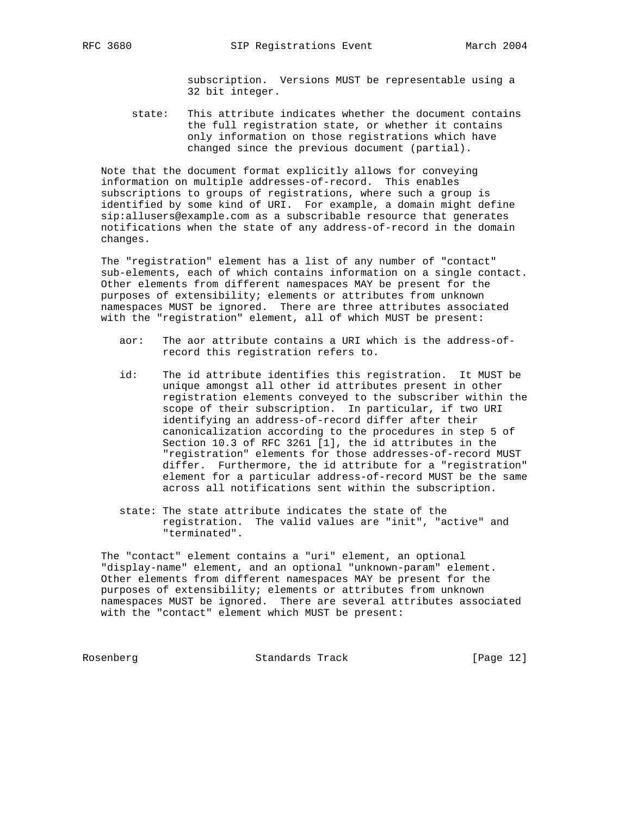subscription. Versions MUST be representable using a 32 bit integer.

 state: This attribute indicates whether the document contains the full registration state, or whether it contains only information on those registrations which have changed since the previous document (partial).

 Note that the document format explicitly allows for conveying information on multiple addresses-of-record. This enables subscriptions to groups of registrations, where such a group is identified by some kind of URI. For example, a domain might define sip:allusers@example.com as a subscribable resource that generates notifications when the state of any address-of-record in the domain changes.

 The "registration" element has a list of any number of "contact" sub-elements, each of which contains information on a single contact. Other elements from different namespaces MAY be present for the purposes of extensibility; elements or attributes from unknown namespaces MUST be ignored. There are three attributes associated with the "registration" element, all of which MUST be present:

- aor: The aor attribute contains a URI which is the address-of record this registration refers to.
- id: The id attribute identifies this registration. It MUST be unique amongst all other id attributes present in other registration elements conveyed to the subscriber within the scope of their subscription. In particular, if two URI identifying an address-of-record differ after their canonicalization according to the procedures in step 5 of Section 10.3 of RFC 3261 [1], the id attributes in the "registration" elements for those addresses-of-record MUST differ. Furthermore, the id attribute for a "registration" element for a particular address-of-record MUST be the same across all notifications sent within the subscription.
- state: The state attribute indicates the state of the registration. The valid values are "init", "active" and "terminated".

 The "contact" element contains a "uri" element, an optional "display-name" element, and an optional "unknown-param" element. Other elements from different namespaces MAY be present for the purposes of extensibility; elements or attributes from unknown namespaces MUST be ignored. There are several attributes associated with the "contact" element which MUST be present:

Rosenberg Standards Track [Page 12]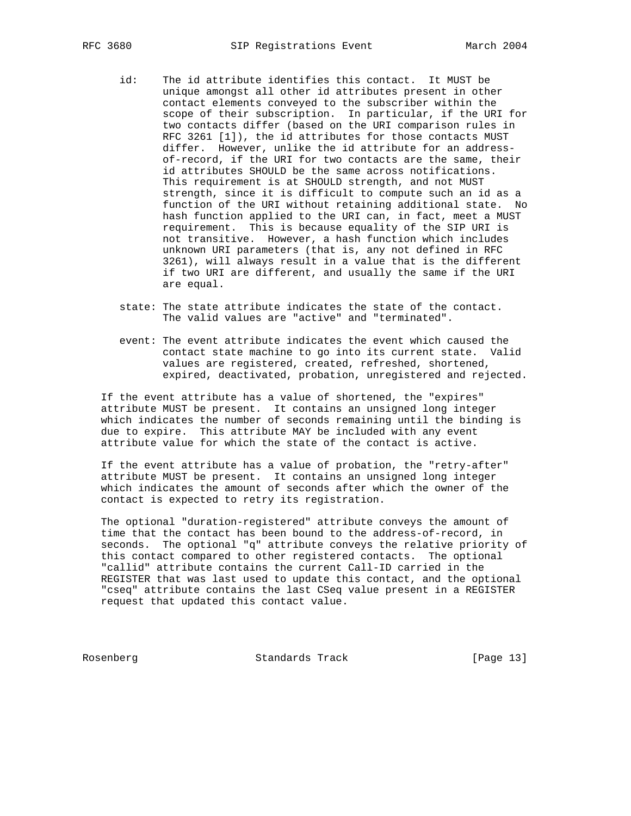- id: The id attribute identifies this contact. It MUST be unique amongst all other id attributes present in other contact elements conveyed to the subscriber within the scope of their subscription. In particular, if the URI for two contacts differ (based on the URI comparison rules in RFC 3261 [1]), the id attributes for those contacts MUST differ. However, unlike the id attribute for an address of-record, if the URI for two contacts are the same, their id attributes SHOULD be the same across notifications. This requirement is at SHOULD strength, and not MUST strength, since it is difficult to compute such an id as a function of the URI without retaining additional state. No hash function applied to the URI can, in fact, meet a MUST requirement. This is because equality of the SIP URI is not transitive. However, a hash function which includes unknown URI parameters (that is, any not defined in RFC 3261), will always result in a value that is the different if two URI are different, and usually the same if the URI are equal.
	- state: The state attribute indicates the state of the contact. The valid values are "active" and "terminated".
	- event: The event attribute indicates the event which caused the contact state machine to go into its current state. Valid values are registered, created, refreshed, shortened, expired, deactivated, probation, unregistered and rejected.

 If the event attribute has a value of shortened, the "expires" attribute MUST be present. It contains an unsigned long integer which indicates the number of seconds remaining until the binding is due to expire. This attribute MAY be included with any event attribute value for which the state of the contact is active.

 If the event attribute has a value of probation, the "retry-after" attribute MUST be present. It contains an unsigned long integer which indicates the amount of seconds after which the owner of the contact is expected to retry its registration.

 The optional "duration-registered" attribute conveys the amount of time that the contact has been bound to the address-of-record, in seconds. The optional "q" attribute conveys the relative priority of this contact compared to other registered contacts. The optional "callid" attribute contains the current Call-ID carried in the REGISTER that was last used to update this contact, and the optional "cseq" attribute contains the last CSeq value present in a REGISTER request that updated this contact value.

Rosenberg Standards Track [Page 13]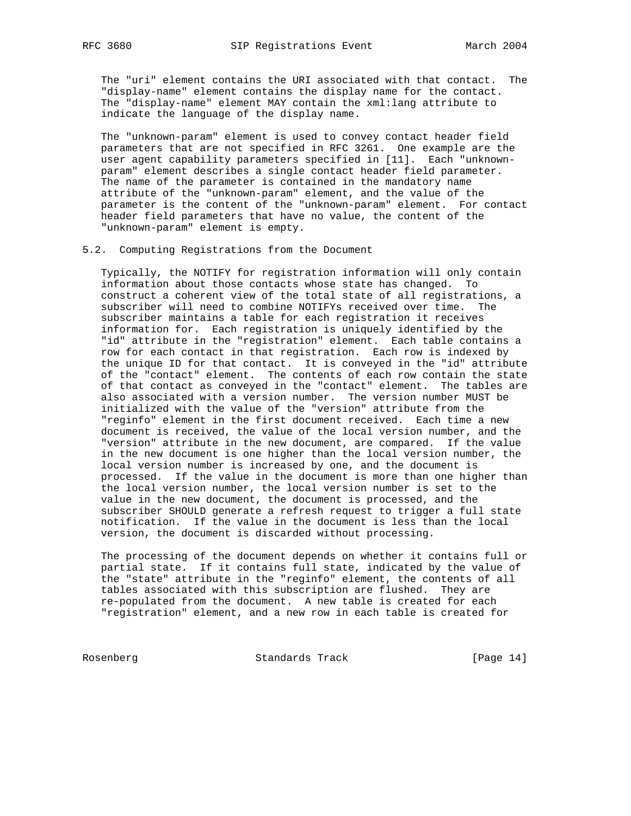The "uri" element contains the URI associated with that contact. The "display-name" element contains the display name for the contact. The "display-name" element MAY contain the xml:lang attribute to indicate the language of the display name.

 The "unknown-param" element is used to convey contact header field parameters that are not specified in RFC 3261. One example are the user agent capability parameters specified in [11]. Each "unknown param" element describes a single contact header field parameter. The name of the parameter is contained in the mandatory name attribute of the "unknown-param" element, and the value of the parameter is the content of the "unknown-param" element. For contact header field parameters that have no value, the content of the "unknown-param" element is empty.

#### 5.2. Computing Registrations from the Document

 Typically, the NOTIFY for registration information will only contain information about those contacts whose state has changed. To construct a coherent view of the total state of all registrations, a subscriber will need to combine NOTIFYs received over time. The subscriber maintains a table for each registration it receives information for. Each registration is uniquely identified by the "id" attribute in the "registration" element. Each table contains a row for each contact in that registration. Each row is indexed by the unique ID for that contact. It is conveyed in the "id" attribute of the "contact" element. The contents of each row contain the state of that contact as conveyed in the "contact" element. The tables are also associated with a version number. The version number MUST be initialized with the value of the "version" attribute from the "reginfo" element in the first document received. Each time a new document is received, the value of the local version number, and the "version" attribute in the new document, are compared. If the value in the new document is one higher than the local version number, the local version number is increased by one, and the document is processed. If the value in the document is more than one higher than the local version number, the local version number is set to the value in the new document, the document is processed, and the subscriber SHOULD generate a refresh request to trigger a full state notification. If the value in the document is less than the local version, the document is discarded without processing.

 The processing of the document depends on whether it contains full or partial state. If it contains full state, indicated by the value of the "state" attribute in the "reginfo" element, the contents of all tables associated with this subscription are flushed. They are re-populated from the document. A new table is created for each "registration" element, and a new row in each table is created for

Rosenberg Standards Track [Page 14]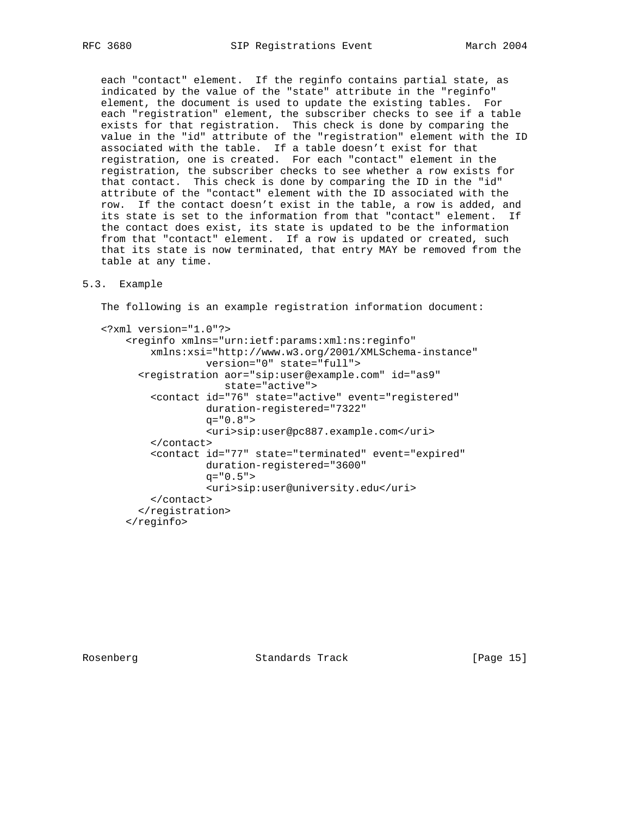each "contact" element. If the reginfo contains partial state, as indicated by the value of the "state" attribute in the "reginfo" element, the document is used to update the existing tables. For each "registration" element, the subscriber checks to see if a table exists for that registration. This check is done by comparing the value in the "id" attribute of the "registration" element with the ID associated with the table. If a table doesn't exist for that registration, one is created. For each "contact" element in the registration, the subscriber checks to see whether a row exists for that contact. This check is done by comparing the ID in the "id" attribute of the "contact" element with the ID associated with the row. If the contact doesn't exist in the table, a row is added, and its state is set to the information from that "contact" element. If the contact does exist, its state is updated to be the information from that "contact" element. If a row is updated or created, such that its state is now terminated, that entry MAY be removed from the table at any time.

### 5.3. Example

The following is an example registration information document:

```
 <?xml version="1.0"?>
     <reginfo xmlns="urn:ietf:params:xml:ns:reginfo"
         xmlns:xsi="http://www.w3.org/2001/XMLSchema-instance"
                  version="0" state="full">
       <registration aor="sip:user@example.com" id="as9"
                     state="active">
         <contact id="76" state="active" event="registered"
                  duration-registered="7322"
                  q="0.8">
                  <uri>sip:user@pc887.example.com</uri>
         </contact>
         <contact id="77" state="terminated" event="expired"
                  duration-registered="3600"
                 q = "0.5" <uri>sip:user@university.edu</uri>
         </contact>
       </registration>
     </reginfo>
```
Rosenberg Standards Track [Page 15]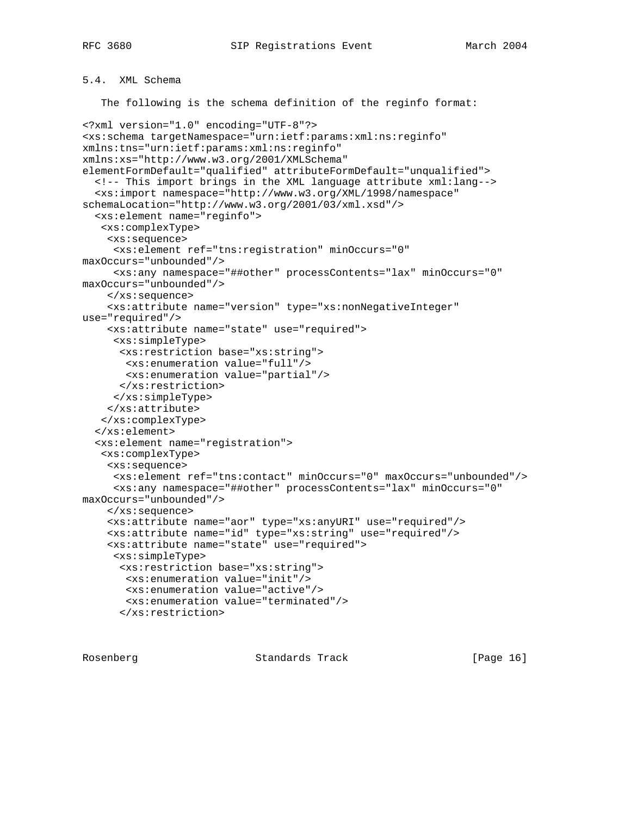# 5.4. XML Schema

The following is the schema definition of the reginfo format:

```
<?xml version="1.0" encoding="UTF-8"?>
<xs:schema targetNamespace="urn:ietf:params:xml:ns:reginfo"
xmlns:tns="urn:ietf:params:xml:ns:reginfo"
xmlns:xs="http://www.w3.org/2001/XMLSchema"
elementFormDefault="qualified" attributeFormDefault="unqualified">
   <!-- This import brings in the XML language attribute xml:lang-->
   <xs:import namespace="http://www.w3.org/XML/1998/namespace"
schemaLocation="http://www.w3.org/2001/03/xml.xsd"/>
   <xs:element name="reginfo">
    <xs:complexType>
     <xs:sequence>
      <xs:element ref="tns:registration" minOccurs="0"
maxOccurs="unbounded"/>
     <xs:any namespace="##other" processContents="lax" minOccurs="0"
maxOccurs="unbounded"/>
    </xs:sequence>
     <xs:attribute name="version" type="xs:nonNegativeInteger"
use="required"/>
     <xs:attribute name="state" use="required">
      <xs:simpleType>
      <xs:restriction base="xs:string">
       <xs:enumeration value="full"/>
       <xs:enumeration value="partial"/>
      </xs:restriction>
     </xs:simpleType>
     </xs:attribute>
   </xs:complexType>
   </xs:element>
   <xs:element name="registration">
   <xs:complexType>
     <xs:sequence>
      <xs:element ref="tns:contact" minOccurs="0" maxOccurs="unbounded"/>
      <xs:any namespace="##other" processContents="lax" minOccurs="0"
maxOccurs="unbounded"/>
     </xs:sequence>
     <xs:attribute name="aor" type="xs:anyURI" use="required"/>
     <xs:attribute name="id" type="xs:string" use="required"/>
     <xs:attribute name="state" use="required">
     <xs:simpleType>
      <xs:restriction base="xs:string">
       <xs:enumeration value="init"/>
       <xs:enumeration value="active"/>
       <xs:enumeration value="terminated"/>
       </xs:restriction>
```
Rosenberg **Standards Track** [Page 16]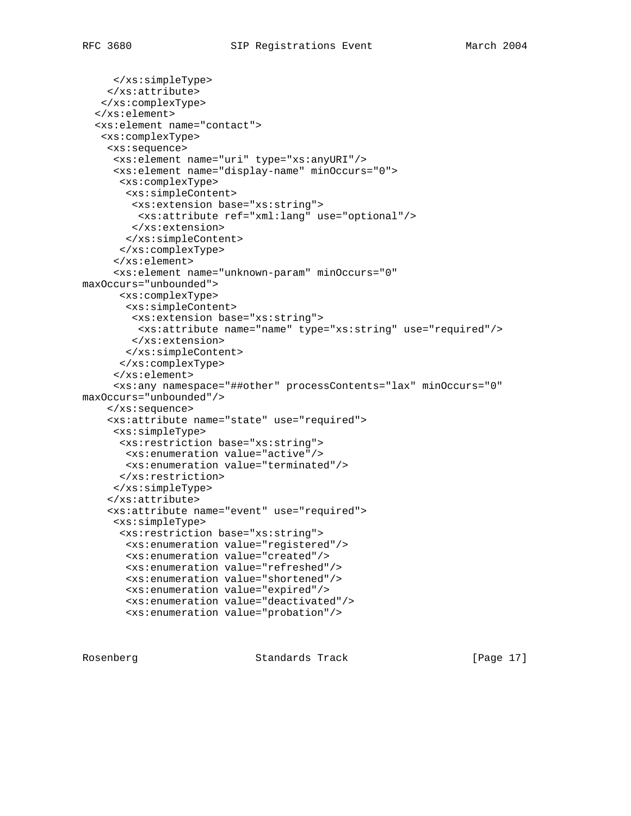```
 </xs:simpleType>
     </xs:attribute>
    </xs:complexType>
   </xs:element>
   <xs:element name="contact">
    <xs:complexType>
    <xs:sequence>
      <xs:element name="uri" type="xs:anyURI"/>
      <xs:element name="display-name" minOccurs="0">
       <xs:complexType>
        <xs:simpleContent>
         <xs:extension base="xs:string">
          <xs:attribute ref="xml:lang" use="optional"/>
         </xs:extension>
        </xs:simpleContent>
       </xs:complexType>
      </xs:element>
      <xs:element name="unknown-param" minOccurs="0"
maxOccurs="unbounded">
       <xs:complexType>
        <xs:simpleContent>
         <xs:extension base="xs:string">
          <xs:attribute name="name" type="xs:string" use="required"/>
         </xs:extension>
       </xs:simpleContent>
       </xs:complexType>
      </xs:element>
      <xs:any namespace="##other" processContents="lax" minOccurs="0"
maxOccurs="unbounded"/>
     </xs:sequence>
     <xs:attribute name="state" use="required">
      <xs:simpleType>
       <xs:restriction base="xs:string">
       <xs:enumeration value="active"/>
        <xs:enumeration value="terminated"/>
       </xs:restriction>
      </xs:simpleType>
     </xs:attribute>
     <xs:attribute name="event" use="required">
      <xs:simpleType>
       <xs:restriction base="xs:string">
        <xs:enumeration value="registered"/>
        <xs:enumeration value="created"/>
        <xs:enumeration value="refreshed"/>
        <xs:enumeration value="shortened"/>
        <xs:enumeration value="expired"/>
        <xs:enumeration value="deactivated"/>
        <xs:enumeration value="probation"/>
```
Rosenberg Standards Track [Page 17]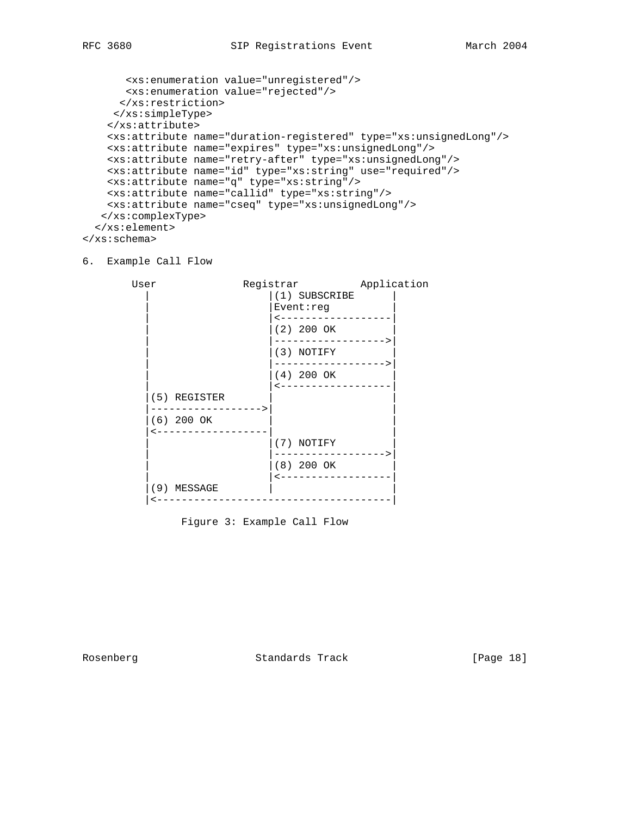```
 <xs:enumeration value="unregistered"/>
       <xs:enumeration value="rejected"/>
      </xs:restriction>
     </xs:simpleType>
     </xs:attribute>
     <xs:attribute name="duration-registered" type="xs:unsignedLong"/>
     <xs:attribute name="expires" type="xs:unsignedLong"/>
    <xs:attribute name="retry-after" type="xs:unsignedLong"/>
    <xs:attribute name="id" type="xs:string" use="required"/>
    <xs:attribute name="q" type="xs:string"/>
    <xs:attribute name="callid" type="xs:string"/>
    <xs:attribute name="cseq" type="xs:unsignedLong"/>
   </xs:complexType>
   </xs:element>
</xs:schema>
```
#### 6. Example Call Flow



Figure 3: Example Call Flow

Rosenberg Standards Track [Page 18]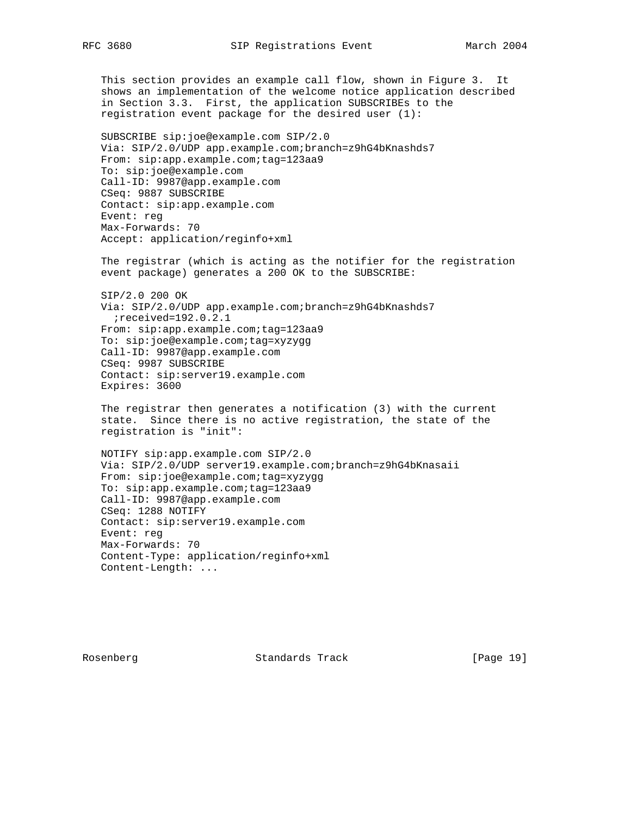This section provides an example call flow, shown in Figure 3. It shows an implementation of the welcome notice application described in Section 3.3. First, the application SUBSCRIBEs to the registration event package for the desired user (1): SUBSCRIBE sip:joe@example.com SIP/2.0

 Via: SIP/2.0/UDP app.example.com;branch=z9hG4bKnashds7 From: sip:app.example.com;tag=123aa9 To: sip:joe@example.com Call-ID: 9987@app.example.com CSeq: 9887 SUBSCRIBE Contact: sip:app.example.com Event: reg Max-Forwards: 70 Accept: application/reginfo+xml

 The registrar (which is acting as the notifier for the registration event package) generates a 200 OK to the SUBSCRIBE:

 SIP/2.0 200 OK Via: SIP/2.0/UDP app.example.com;branch=z9hG4bKnashds7 ;received=192.0.2.1 From: sip:app.example.com;tag=123aa9 To: sip:joe@example.com;tag=xyzygg Call-ID: 9987@app.example.com CSeq: 9987 SUBSCRIBE Contact: sip:server19.example.com Expires: 3600

 The registrar then generates a notification (3) with the current state. Since there is no active registration, the state of the registration is "init":

 NOTIFY sip:app.example.com SIP/2.0 Via: SIP/2.0/UDP server19.example.com;branch=z9hG4bKnasaii From: sip:joe@example.com;tag=xyzygg To: sip:app.example.com;tag=123aa9 Call-ID: 9987@app.example.com CSeq: 1288 NOTIFY Contact: sip:server19.example.com Event: reg Max-Forwards: 70 Content-Type: application/reginfo+xml Content-Length: ...

Rosenberg Standards Track [Page 19]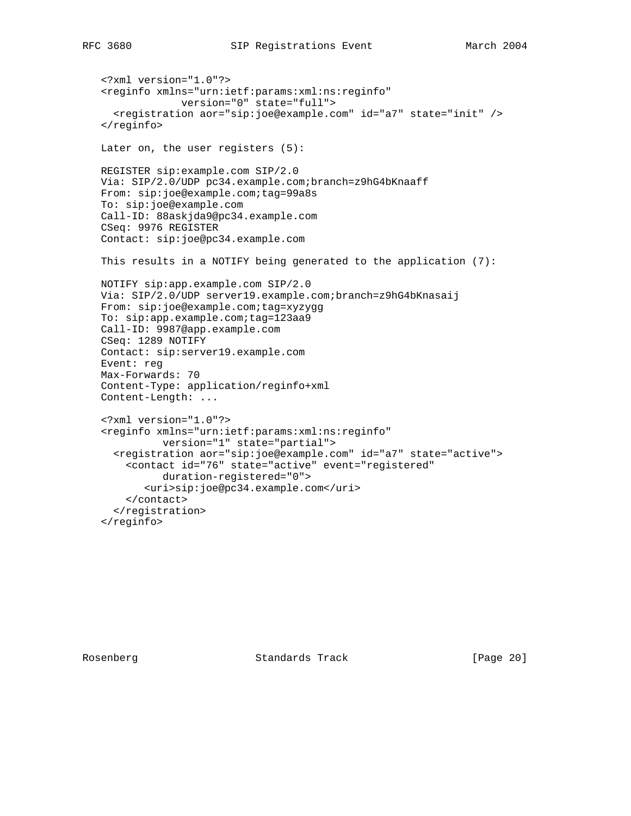```
 <?xml version="1.0"?>
 <reginfo xmlns="urn:ietf:params:xml:ns:reginfo"
              version="0" state="full">
   <registration aor="sip:joe@example.com" id="a7" state="init" />
 </reginfo>
 Later on, the user registers (5):
 REGISTER sip:example.com SIP/2.0
 Via: SIP/2.0/UDP pc34.example.com;branch=z9hG4bKnaaff
 From: sip:joe@example.com;tag=99a8s
 To: sip:joe@example.com
 Call-ID: 88askjda9@pc34.example.com
 CSeq: 9976 REGISTER
 Contact: sip:joe@pc34.example.com
 This results in a NOTIFY being generated to the application (7):
 NOTIFY sip:app.example.com SIP/2.0
 Via: SIP/2.0/UDP server19.example.com;branch=z9hG4bKnasaij
 From: sip:joe@example.com;tag=xyzygg
 To: sip:app.example.com;tag=123aa9
 Call-ID: 9987@app.example.com
 CSeq: 1289 NOTIFY
 Contact: sip:server19.example.com
 Event: reg
 Max-Forwards: 70
 Content-Type: application/reginfo+xml
 Content-Length: ...
 <?xml version="1.0"?>
 <reginfo xmlns="urn:ietf:params:xml:ns:reginfo"
           version="1" state="partial">
   <registration aor="sip:joe@example.com" id="a7" state="active">
     <contact id="76" state="active" event="registered"
           duration-registered="0">
        <uri>sip:joe@pc34.example.com</uri>
     </contact>
   </registration>
 </reginfo>
```
Rosenberg Standards Track [Page 20]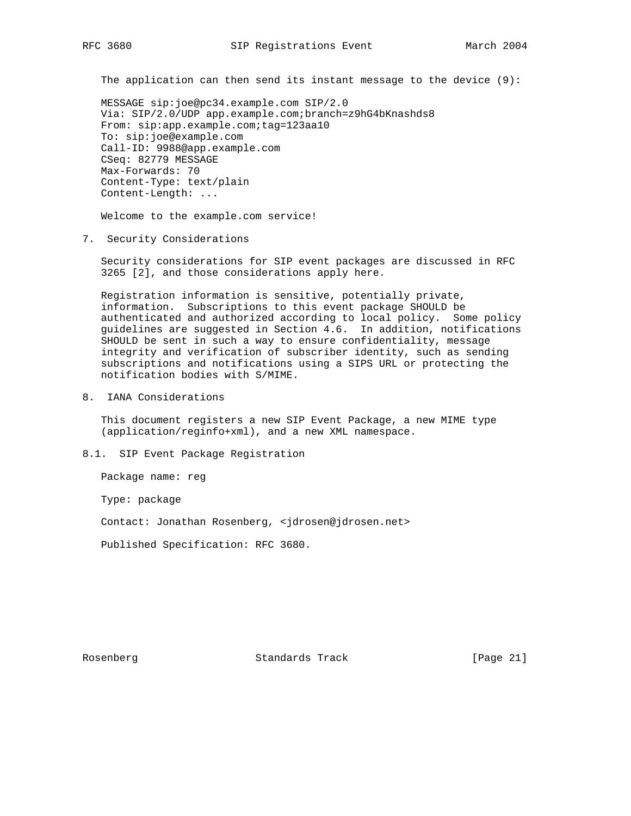The application can then send its instant message to the device (9):

 MESSAGE sip:joe@pc34.example.com SIP/2.0 Via: SIP/2.0/UDP app.example.com;branch=z9hG4bKnashds8 From: sip:app.example.com;tag=123aa10 To: sip:joe@example.com Call-ID: 9988@app.example.com CSeq: 82779 MESSAGE Max-Forwards: 70 Content-Type: text/plain Content-Length: ...

Welcome to the example.com service!

7. Security Considerations

 Security considerations for SIP event packages are discussed in RFC 3265 [2], and those considerations apply here.

 Registration information is sensitive, potentially private, information. Subscriptions to this event package SHOULD be authenticated and authorized according to local policy. Some policy guidelines are suggested in Section 4.6. In addition, notifications SHOULD be sent in such a way to ensure confidentiality, message integrity and verification of subscriber identity, such as sending subscriptions and notifications using a SIPS URL or protecting the notification bodies with S/MIME.

8. IANA Considerations

 This document registers a new SIP Event Package, a new MIME type (application/reginfo+xml), and a new XML namespace.

8.1. SIP Event Package Registration

Package name: reg

Type: package

Contact: Jonathan Rosenberg, <jdrosen@jdrosen.net>

Published Specification: RFC 3680.

Rosenberg Standards Track [Page 21]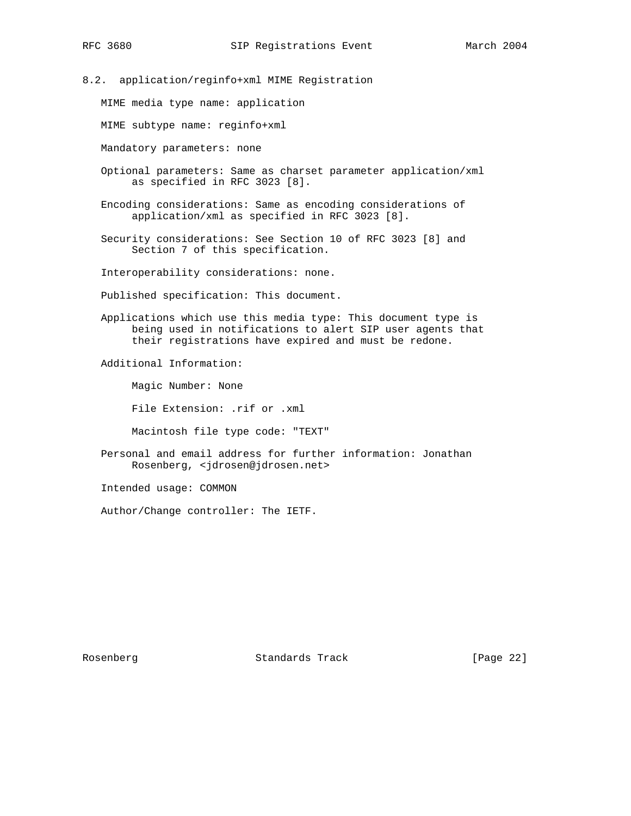8.2. application/reginfo+xml MIME Registration

MIME media type name: application

MIME subtype name: reginfo+xml

Mandatory parameters: none

- Optional parameters: Same as charset parameter application/xml as specified in RFC 3023 [8].
- Encoding considerations: Same as encoding considerations of application/xml as specified in RFC 3023 [8].
- Security considerations: See Section 10 of RFC 3023 [8] and Section 7 of this specification.

Interoperability considerations: none.

Published specification: This document.

 Applications which use this media type: This document type is being used in notifications to alert SIP user agents that their registrations have expired and must be redone.

Additional Information:

Magic Number: None

File Extension: .rif or .xml

Macintosh file type code: "TEXT"

 Personal and email address for further information: Jonathan Rosenberg, <jdrosen@jdrosen.net>

Intended usage: COMMON

Author/Change controller: The IETF.

Rosenberg Standards Track [Page 22]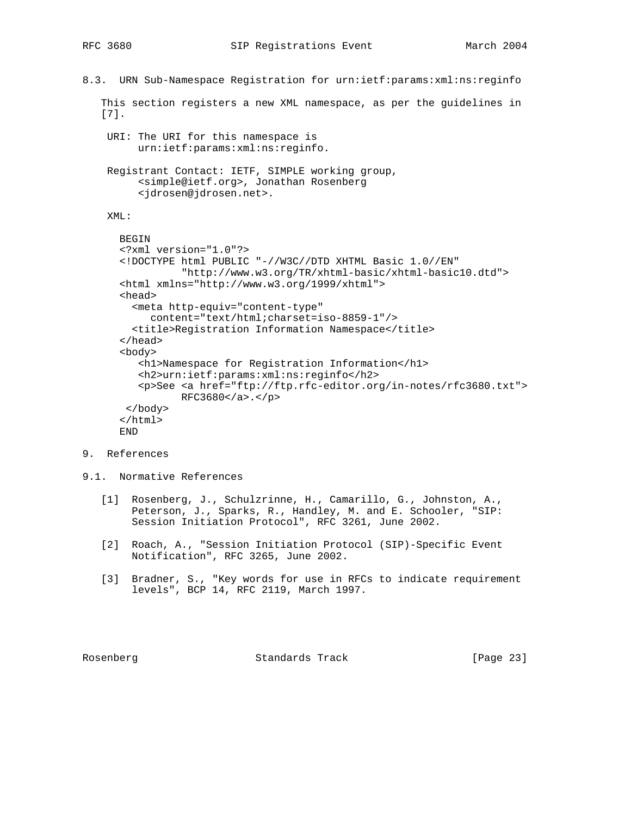```
8.3. URN Sub-Namespace Registration for urn:ietf:params:xml:ns:reginfo
    This section registers a new XML namespace, as per the guidelines in
    [7].
     URI: The URI for this namespace is
          urn:ietf:params:xml:ns:reginfo.
     Registrant Contact: IETF, SIMPLE working group,
          <simple@ietf.org>, Jonathan Rosenberg
          <jdrosen@jdrosen.net>.
     XML:
       BEGIN
       <?xml version="1.0"?>
       <!DOCTYPE html PUBLIC "-//W3C//DTD XHTML Basic 1.0//EN"
                 "http://www.w3.org/TR/xhtml-basic/xhtml-basic10.dtd">
       <html xmlns="http://www.w3.org/1999/xhtml">
       <head>
         <meta http-equiv="content-type"
            content="text/html;charset=iso-8859-1"/>
         <title>Registration Information Namespace</title>
       </head>
       <body>
          <h1>Namespace for Registration Information</h1>
          <h2>urn:ietf:params:xml:ns:reginfo</h2>
          <p>See <a href="ftp://ftp.rfc-editor.org/in-notes/rfc3680.txt">
                 RFC3680</a>.</p>
        </body>
       </html>
       END
```
- 9. References
- 9.1. Normative References
	- [1] Rosenberg, J., Schulzrinne, H., Camarillo, G., Johnston, A., Peterson, J., Sparks, R., Handley, M. and E. Schooler, "SIP: Session Initiation Protocol", RFC 3261, June 2002.
	- [2] Roach, A., "Session Initiation Protocol (SIP)-Specific Event Notification", RFC 3265, June 2002.
	- [3] Bradner, S., "Key words for use in RFCs to indicate requirement levels", BCP 14, RFC 2119, March 1997.

Rosenberg Standards Track [Page 23]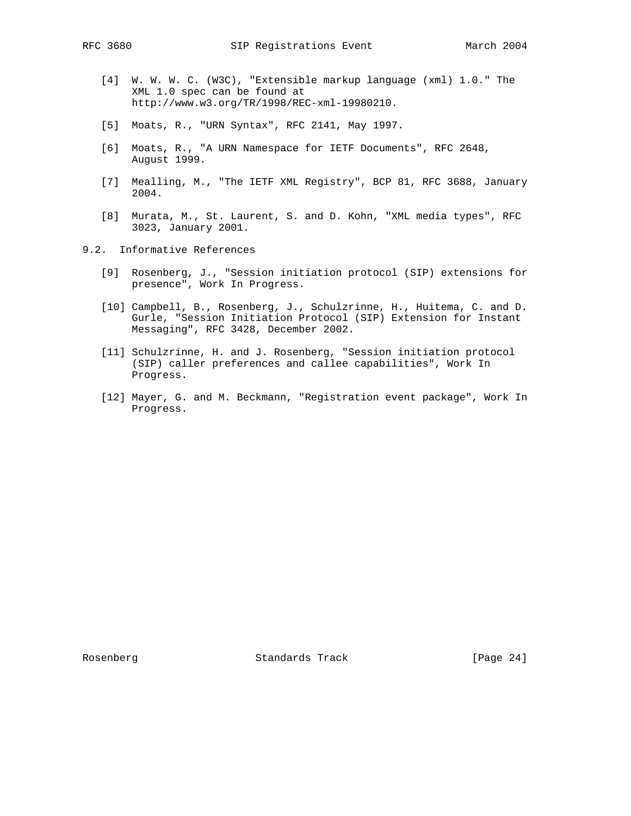- [4] W. W. W. C. (W3C), "Extensible markup language (xml) 1.0." The XML 1.0 spec can be found at http://www.w3.org/TR/1998/REC-xml-19980210.
- [5] Moats, R., "URN Syntax", RFC 2141, May 1997.
- [6] Moats, R., "A URN Namespace for IETF Documents", RFC 2648, August 1999.
- [7] Mealling, M., "The IETF XML Registry", BCP 81, RFC 3688, January 2004.
- [8] Murata, M., St. Laurent, S. and D. Kohn, "XML media types", RFC 3023, January 2001.
- 9.2. Informative References
	- [9] Rosenberg, J., "Session initiation protocol (SIP) extensions for presence", Work In Progress.
	- [10] Campbell, B., Rosenberg, J., Schulzrinne, H., Huitema, C. and D. Gurle, "Session Initiation Protocol (SIP) Extension for Instant Messaging", RFC 3428, December 2002.
	- [11] Schulzrinne, H. and J. Rosenberg, "Session initiation protocol (SIP) caller preferences and callee capabilities", Work In Progress.
	- [12] Mayer, G. and M. Beckmann, "Registration event package", Work In Progress.

Rosenberg Standards Track [Page 24]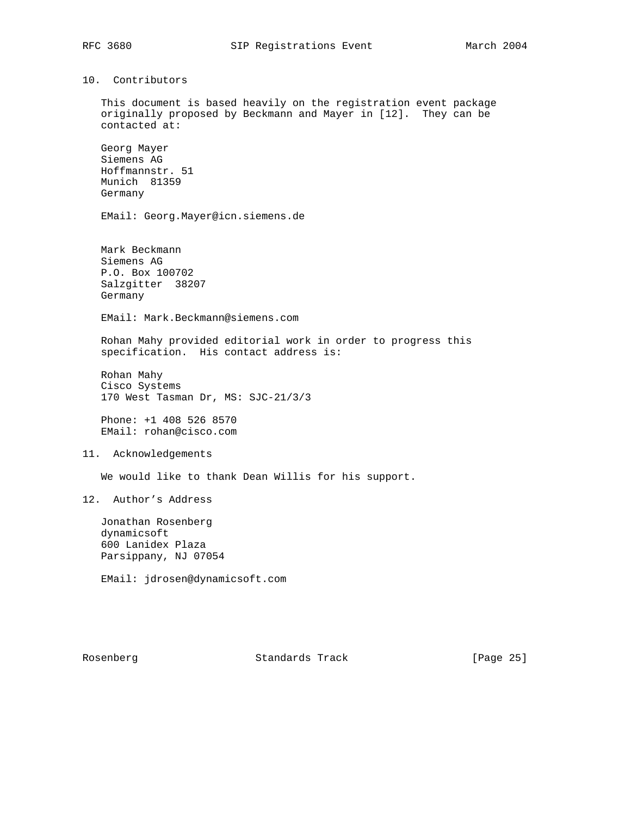# 10. Contributors

 This document is based heavily on the registration event package originally proposed by Beckmann and Mayer in [12]. They can be contacted at:

 Georg Mayer Siemens AG Hoffmannstr. 51 Munich 81359 Germany

EMail: Georg.Mayer@icn.siemens.de

 Mark Beckmann Siemens AG P.O. Box 100702 Salzgitter 38207 Germany

EMail: Mark.Beckmann@siemens.com

 Rohan Mahy provided editorial work in order to progress this specification. His contact address is:

 Rohan Mahy Cisco Systems 170 West Tasman Dr, MS: SJC-21/3/3

 Phone: +1 408 526 8570 EMail: rohan@cisco.com

11. Acknowledgements

We would like to thank Dean Willis for his support.

12. Author's Address

 Jonathan Rosenberg dynamicsoft 600 Lanidex Plaza Parsippany, NJ 07054

EMail: jdrosen@dynamicsoft.com

Rosenberg Standards Track [Page 25]